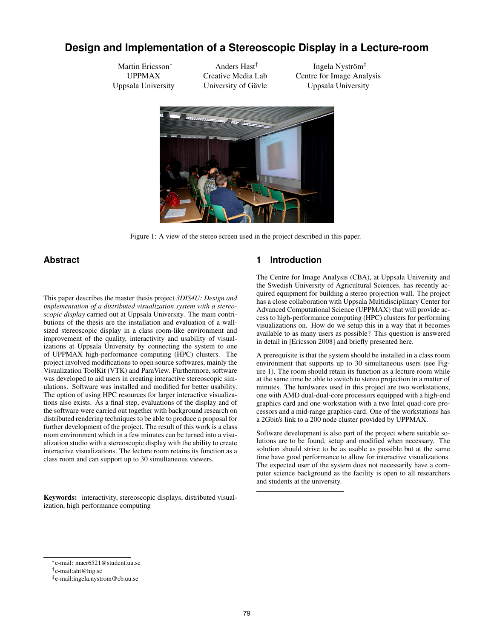# **Design and Implementation of a Stereoscopic Display in a Lecture-room**

Martin Ericsson<sup>∗</sup> UPPMAX Uppsala University

Anders Hast† Creative Media Lab University of Gävle

Ingela Nyström<sup>‡</sup> Centre for Image Analysis Uppsala University



Figure 1: A view of the stereo screen used in the project described in this paper.

# **Abstract**

This paper describes the master thesis project *3DIS4U: Design and implementation of a distributed visualization system with a stereoscopic display* carried out at Uppsala University. The main contributions of the thesis are the installation and evaluation of a wallsized stereoscopic display in a class room-like environment and improvement of the quality, interactivity and usability of visualizations at Uppsala University by connecting the system to one of UPPMAX high-performance computing (HPC) clusters. The project involved modifications to open source softwares, mainly the Visualization ToolKit (VTK) and ParaView. Furthermore, software was developed to aid users in creating interactive stereoscopic simulations. Software was installed and modified for better usability. The option of using HPC resources for larger interactive visualizations also exists. As a final step, evaluations of the display and of the software were carried out together with background research on distributed rendering techniques to be able to produce a proposal for further development of the project. The result of this work is a class room environment which in a few minutes can be turned into a visualization studio with a stereoscopic display with the ability to create interactive visualizations. The lecture room retains its function as a class room and can support up to 30 simultaneous viewers.

Keywords: interactivity, stereoscopic displays, distributed visualization, high performance computing

#### **1 Introduction**

The Centre for Image Analysis (CBA), at Uppsala University and the Swedish University of Agricultural Sciences, has recently acquired equipment for building a stereo projection wall. The project has a close collaboration with Uppsala Multidisciplinary Center for Advanced Computational Science (UPPMAX) that will provide access to high-performance computing (HPC) clusters for performing visualizations on. How do we setup this in a way that it becomes available to as many users as possible? This question is answered in detail in [Ericsson 2008] and briefly presented here.

A prerequisite is that the system should be installed in a class room environment that supports up to 30 simultaneous users (see Figure 1). The room should retain its function as a lecture room while at the same time be able to switch to stereo projection in a matter of minutes. The hardwares used in this project are two workstations, one with AMD dual-dual-core processors equipped with a high-end graphics card and one workstation with a two Intel quad-core processors and a mid-range graphics card. One of the workstations has a 2Gbit/s link to a 200 node cluster provided by UPPMAX.

Software development is also part of the project where suitable solutions are to be found, setup and modified when necessary. The solution should strive to be as usable as possible but at the same time have good performance to allow for interactive visualizations. The expected user of the system does not necessarily have a computer science background as the facility is open to all researchers and students at the university.

<sup>∗</sup>e-mail: maer6521@student.uu.se

<sup>†</sup> e-mail:aht@hig.se

<sup>‡</sup> e-mail:ingela.nystrom@cb.uu.se